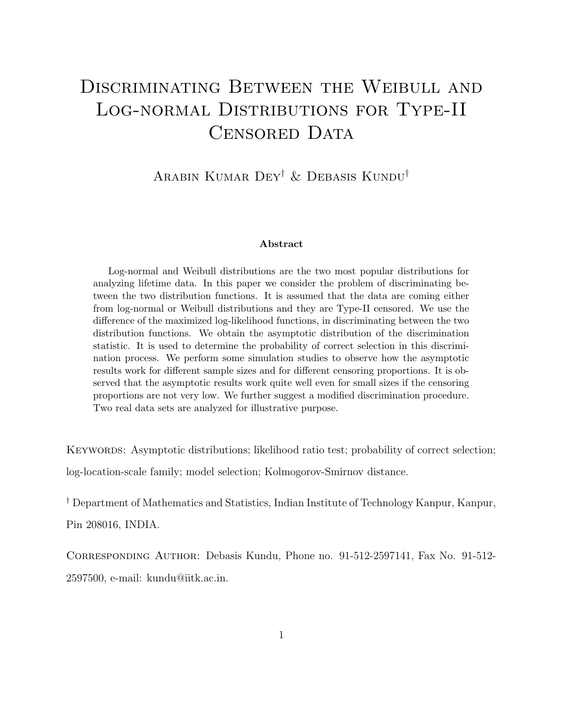# DISCRIMINATING BETWEEN THE WEIBULL AND Log-normal Distributions for Type-II CENSORED DATA

#### Arabin Kumar Dey† & Debasis Kundu†

#### Abstract

Log-normal and Weibull distributions are the two most popular distributions for analyzing lifetime data. In this paper we consider the problem of discriminating between the two distribution functions. It is assumed that the data are coming either from log-normal or Weibull distributions and they are Type-II censored. We use the difference of the maximized log-likelihood functions, in discriminating between the two distribution functions. We obtain the asymptotic distribution of the discrimination statistic. It is used to determine the probability of correct selection in this discrimination process. We perform some simulation studies to observe how the asymptotic results work for different sample sizes and for different censoring proportions. It is observed that the asymptotic results work quite well even for small sizes if the censoring proportions are not very low. We further suggest a modified discrimination procedure. Two real data sets are analyzed for illustrative purpose.

KEYWORDS: Asymptotic distributions; likelihood ratio test; probability of correct selection; log-location-scale family; model selection; Kolmogorov-Smirnov distance.

† Department of Mathematics and Statistics, Indian Institute of Technology Kanpur, Kanpur, Pin 208016, INDIA.

Corresponding Author: Debasis Kundu, Phone no. 91-512-2597141, Fax No. 91-512- 2597500, e-mail: kundu@iitk.ac.in.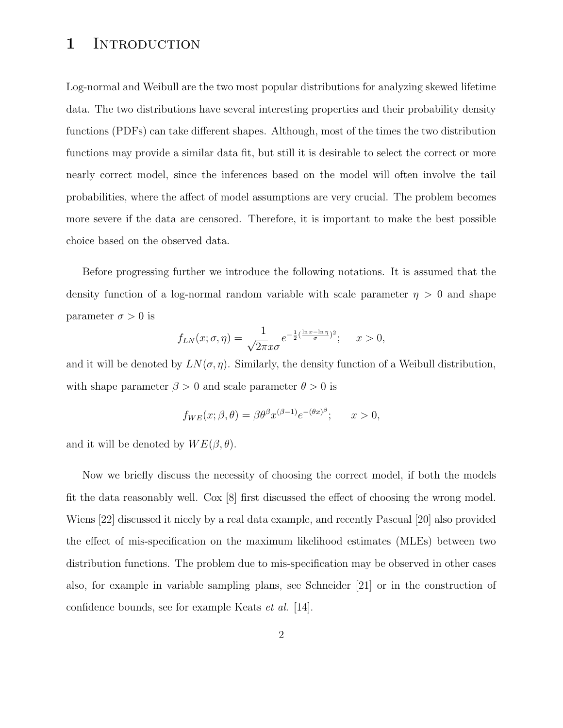#### 1 INTRODUCTION

Log-normal and Weibull are the two most popular distributions for analyzing skewed lifetime data. The two distributions have several interesting properties and their probability density functions (PDFs) can take different shapes. Although, most of the times the two distribution functions may provide a similar data fit, but still it is desirable to select the correct or more nearly correct model, since the inferences based on the model will often involve the tail probabilities, where the affect of model assumptions are very crucial. The problem becomes more severe if the data are censored. Therefore, it is important to make the best possible choice based on the observed data.

Before progressing further we introduce the following notations. It is assumed that the density function of a log-normal random variable with scale parameter  $\eta > 0$  and shape parameter  $\sigma > 0$  is

$$
f_{LN}(x;\sigma,\eta) = \frac{1}{\sqrt{2\pi}x\sigma}e^{-\frac{1}{2}(\frac{\ln x - \ln \eta}{\sigma})^2}; \quad x > 0,
$$

and it will be denoted by  $LN(\sigma, \eta)$ . Similarly, the density function of a Weibull distribution, with shape parameter  $\beta > 0$  and scale parameter  $\theta > 0$  is

$$
f_{WE}(x; \beta, \theta) = \beta \theta^{\beta} x^{(\beta - 1)} e^{-(\theta x)^{\beta}}; \quad x > 0,
$$

and it will be denoted by  $WE(\beta, \theta)$ .

Now we briefly discuss the necessity of choosing the correct model, if both the models fit the data reasonably well. Cox [8] first discussed the effect of choosing the wrong model. Wiens [22] discussed it nicely by a real data example, and recently Pascual [20] also provided the effect of mis-specification on the maximum likelihood estimates (MLEs) between two distribution functions. The problem due to mis-specification may be observed in other cases also, for example in variable sampling plans, see Schneider [21] or in the construction of confidence bounds, see for example Keats et al. [14].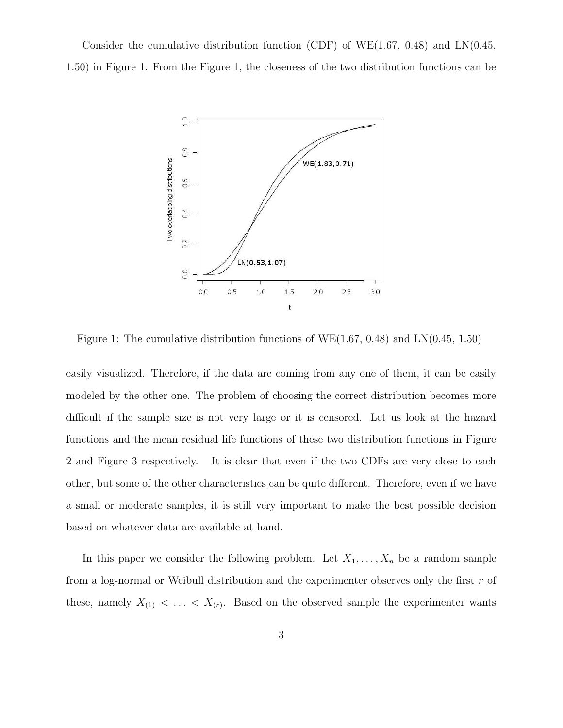Consider the cumulative distribution function (CDF) of WE(1.67, 0.48) and  $LN(0.45,$ 1.50) in Figure 1. From the Figure 1, the closeness of the two distribution functions can be



Figure 1: The cumulative distribution functions of WE(1.67, 0.48) and LN(0.45, 1.50)

easily visualized. Therefore, if the data are coming from any one of them, it can be easily modeled by the other one. The problem of choosing the correct distribution becomes more difficult if the sample size is not very large or it is censored. Let us look at the hazard functions and the mean residual life functions of these two distribution functions in Figure 2 and Figure 3 respectively. It is clear that even if the two CDFs are very close to each other, but some of the other characteristics can be quite different. Therefore, even if we have a small or moderate samples, it is still very important to make the best possible decision based on whatever data are available at hand.

In this paper we consider the following problem. Let  $X_1, \ldots, X_n$  be a random sample from a log-normal or Weibull distribution and the experimenter observes only the first  $r$  of these, namely  $X_{(1)} < \ldots < X_{(r)}$ . Based on the observed sample the experimenter wants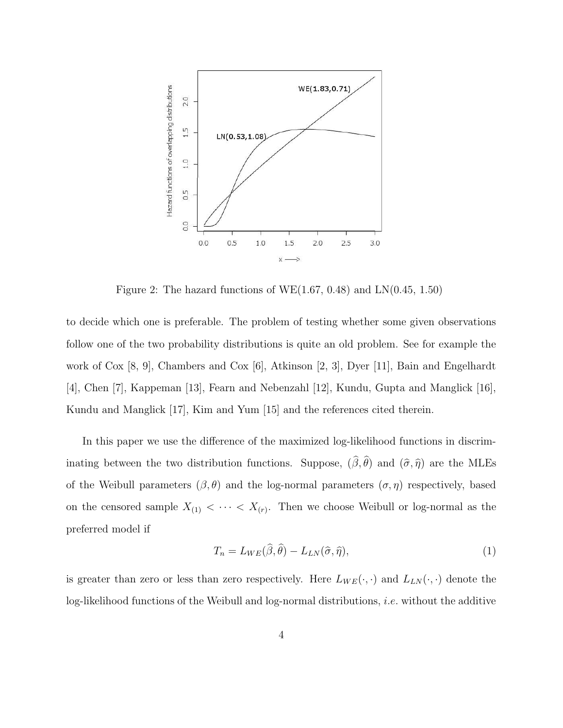

Figure 2: The hazard functions of  $WE(1.67, 0.48)$  and  $LN(0.45, 1.50)$ 

to decide which one is preferable. The problem of testing whether some given observations follow one of the two probability distributions is quite an old problem. See for example the work of Cox [8, 9], Chambers and Cox [6], Atkinson [2, 3], Dyer [11], Bain and Engelhardt [4], Chen [7], Kappeman [13], Fearn and Nebenzahl [12], Kundu, Gupta and Manglick [16], Kundu and Manglick [17], Kim and Yum [15] and the references cited therein.

In this paper we use the difference of the maximized log-likelihood functions in discriminating between the two distribution functions. Suppose,  $(\beta, \theta)$  and  $(\hat{\sigma}, \hat{\eta})$  are the MLEs of the Weibull parameters  $(\beta, \theta)$  and the log-normal parameters  $(\sigma, \eta)$  respectively, based on the censored sample  $X_{(1)} < \cdots < X_{(r)}$ . Then we choose Weibull or log-normal as the preferred model if

$$
T_n = L_{WE}(\hat{\beta}, \hat{\theta}) - L_{LN}(\hat{\sigma}, \hat{\eta}), \qquad (1)
$$

is greater than zero or less than zero respectively. Here  $L_{WE}(\cdot, \cdot)$  and  $L_{LN}(\cdot, \cdot)$  denote the log-likelihood functions of the Weibull and log-normal distributions, i.e. without the additive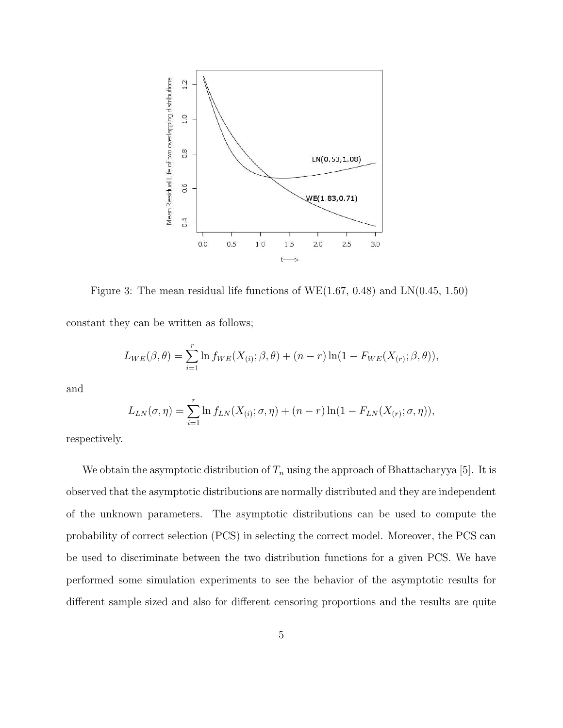

Figure 3: The mean residual life functions of WE(1.67, 0.48) and LN(0.45, 1.50)

constant they can be written as follows;

$$
L_{WE}(\beta, \theta) = \sum_{i=1}^{r} \ln f_{WE}(X_{(i)}; \beta, \theta) + (n - r) \ln(1 - F_{WE}(X_{(r)}; \beta, \theta)),
$$

and

$$
L_{LN}(\sigma, \eta) = \sum_{i=1}^r \ln f_{LN}(X_{(i)}; \sigma, \eta) + (n-r) \ln(1 - F_{LN}(X_{(r)}; \sigma, \eta)),
$$

respectively.

We obtain the asymptotic distribution of  $T_n$  using the approach of Bhattacharyya [5]. It is observed that the asymptotic distributions are normally distributed and they are independent of the unknown parameters. The asymptotic distributions can be used to compute the probability of correct selection (PCS) in selecting the correct model. Moreover, the PCS can be used to discriminate between the two distribution functions for a given PCS. We have performed some simulation experiments to see the behavior of the asymptotic results for different sample sized and also for different censoring proportions and the results are quite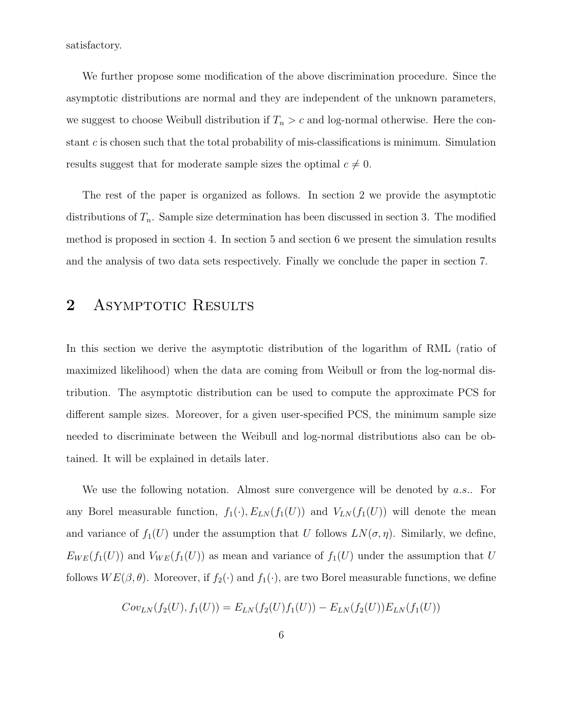satisfactory.

We further propose some modification of the above discrimination procedure. Since the asymptotic distributions are normal and they are independent of the unknown parameters, we suggest to choose Weibull distribution if  $T_n > c$  and log-normal otherwise. Here the constant  $c$  is chosen such that the total probability of mis-classifications is minimum. Simulation results suggest that for moderate sample sizes the optimal  $c \neq 0$ .

The rest of the paper is organized as follows. In section 2 we provide the asymptotic distributions of  $T_n$ . Sample size determination has been discussed in section 3. The modified method is proposed in section 4. In section 5 and section 6 we present the simulation results and the analysis of two data sets respectively. Finally we conclude the paper in section 7.

#### 2 ASYMPTOTIC RESULTS

In this section we derive the asymptotic distribution of the logarithm of RML (ratio of maximized likelihood) when the data are coming from Weibull or from the log-normal distribution. The asymptotic distribution can be used to compute the approximate PCS for different sample sizes. Moreover, for a given user-specified PCS, the minimum sample size needed to discriminate between the Weibull and log-normal distributions also can be obtained. It will be explained in details later.

We use the following notation. Almost sure convergence will be denoted by a.s.. For any Borel measurable function,  $f_1(\cdot), E_{LN}(f_1(U))$  and  $V_{LN}(f_1(U))$  will denote the mean and variance of  $f_1(U)$  under the assumption that U follows  $LN(\sigma, \eta)$ . Similarly, we define,  $E_{WE}(f_1(U))$  and  $V_{WE}(f_1(U))$  as mean and variance of  $f_1(U)$  under the assumption that U follows  $WE(\beta, \theta)$ . Moreover, if  $f_2(\cdot)$  and  $f_1(\cdot)$ , are two Borel measurable functions, we define

$$
Cov_{LN}(f_2(U), f_1(U)) = E_{LN}(f_2(U)f_1(U)) - E_{LN}(f_2(U))E_{LN}(f_1(U))
$$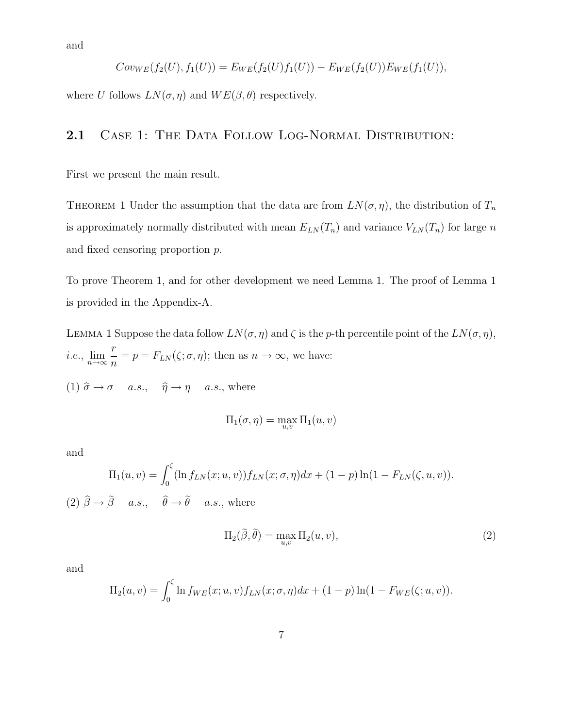and

$$
Cov_{WE}(f_2(U), f_1(U)) = E_{WE}(f_2(U) f_1(U)) - E_{WE}(f_2(U)) E_{WE}(f_1(U)),
$$

where U follows  $LN(\sigma, \eta)$  and  $WE(\beta, \theta)$  respectively.

#### 2.1 CASE 1: THE DATA FOLLOW LOG-NORMAL DISTRIBUTION:

First we present the main result.

THEOREM 1 Under the assumption that the data are from  $LN(\sigma, \eta)$ , the distribution of  $T_n$ is approximately normally distributed with mean  $E_{LN}(T_n)$  and variance  $V_{LN}(T_n)$  for large n and fixed censoring proportion p.

To prove Theorem 1, and for other development we need Lemma 1. The proof of Lemma 1 is provided in the Appendix-A.

LEMMA 1 Suppose the data follow  $LN(\sigma, \eta)$  and  $\zeta$  is the p-th percentile point of the  $LN(\sigma, \eta)$ ,  $i.e., \lim_{n\to\infty}$ r  $\frac{\dot{\tau}}{n} = p = F_{LN}(\zeta; \sigma, \eta)$ ; then as  $n \to \infty$ , we have:

(1)  $\hat{\sigma} \to \sigma$  a.s.,  $\hat{\eta} \to \eta$  a.s., where

$$
\Pi_1(\sigma,\eta) = \max_{u,v} \Pi_1(u,v)
$$

and

$$
\Pi_1(u, v) = \int_0^{\zeta} (\ln f_{LN}(x; u, v)) f_{LN}(x; \sigma, \eta) dx + (1 - p) \ln(1 - F_{LN}(\zeta, u, v)).
$$
\n(2)  $\hat{\beta} \to \tilde{\beta}$  a.s.,  $\hat{\theta} \to \tilde{\theta}$  a.s., where

$$
\Pi_2(\tilde{\beta}, \tilde{\theta}) = \max_{u,v} \Pi_2(u,v),\tag{2}
$$

and

$$
\Pi_2(u, v) = \int_0^{\zeta} \ln f_{WE}(x; u, v) f_{LN}(x; \sigma, \eta) dx + (1 - p) \ln(1 - F_{WE}(\zeta; u, v)).
$$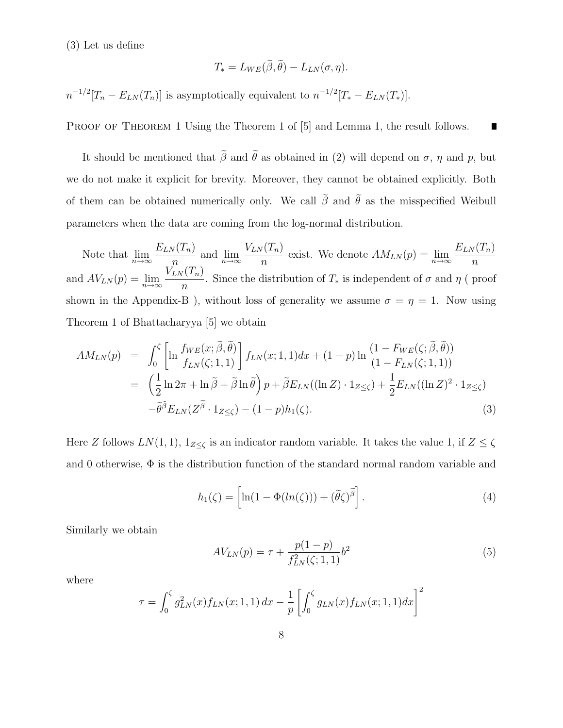(3) Let us define

$$
T_* = L_{WE}(\tilde{\beta}, \tilde{\theta}) - L_{LN}(\sigma, \eta).
$$

 $n^{-1/2}[T_n - E_{LN}(T_n)]$  is asymptotically equivalent to  $n^{-1/2}[T_* - E_{LN}(T_*)]$ .

PROOF OF THEOREM 1 Using the Theorem 1 of [5] and Lemma 1, the result follows. П

It should be mentioned that  $\tilde{\beta}$  and  $\tilde{\theta}$  as obtained in (2) will depend on  $\sigma$ ,  $\eta$  and  $p$ , but we do not make it explicit for brevity. Moreover, they cannot be obtained explicitly. Both of them can be obtained numerically only. We call  $\tilde{\beta}$  and  $\tilde{\theta}$  as the misspecified Weibull parameters when the data are coming from the log-normal distribution.

Note that  $\lim_{n\to\infty}$  $E_{LN}(T_n)$  $\frac{n}{n}$  and  $\lim_{n\to\infty}$  $V_{LN}(T_n)$  $\frac{n(n+1)}{n}$  exist. We denote  $AM_{LN}(p) = \lim_{n \to \infty}$  $E_{LN}(T_n)$  $\overline{n}$ and  $AV_{LN}(p) = \lim_{n \to \infty}$  $V_{LN}(T_n)$  $\frac{n(n+1)}{n}$ . Since the distribution of  $T_*$  is independent of  $\sigma$  and  $\eta$  (proof shown in the Appendix-B ), without loss of generality we assume  $\sigma = \eta = 1$ . Now using Theorem 1 of Bhattacharyya [5] we obtain

$$
AM_{LN}(p) = \int_0^{\zeta} \left[ \ln \frac{f_{WE}(x; \tilde{\beta}, \tilde{\theta})}{f_{LN}(\zeta; 1, 1)} \right] f_{LN}(x; 1, 1) dx + (1 - p) \ln \frac{(1 - F_{WE}(\zeta; \tilde{\beta}, \tilde{\theta}))}{(1 - F_{LN}(\zeta; 1, 1))}
$$
  

$$
= \left( \frac{1}{2} \ln 2\pi + \ln \tilde{\beta} + \tilde{\beta} \ln \tilde{\theta} \right) p + \tilde{\beta} E_{LN}((\ln Z) \cdot 1_{Z \le \zeta}) + \frac{1}{2} E_{LN}((\ln Z)^2 \cdot 1_{Z \le \zeta})
$$

$$
- \tilde{\theta}^{\tilde{\beta}} E_{LN}(Z^{\tilde{\beta}} \cdot 1_{Z \le \zeta}) - (1 - p) h_1(\zeta).
$$
(3)

Here Z follows  $LN(1, 1)$ ,  $1_{Z\leq\zeta}$  is an indicator random variable. It takes the value 1, if  $Z \leq \zeta$ and 0 otherwise,  $\Phi$  is the distribution function of the standard normal random variable and

$$
h_1(\zeta) = \left[ \ln(1 - \Phi(ln(\zeta))) + (\tilde{\theta}\zeta)^{\tilde{\beta}} \right]. \tag{4}
$$

Similarly we obtain

$$
AV_{LN}(p) = \tau + \frac{p(1-p)}{f_{LN}^2(\zeta; 1, 1)} b^2
$$
\n(5)

where

$$
\tau = \int_0^{\zeta} g_{LN}^2(x) f_{LN}(x; 1, 1) dx - \frac{1}{p} \left[ \int_0^{\zeta} g_{LN}(x) f_{LN}(x; 1, 1) dx \right]^2
$$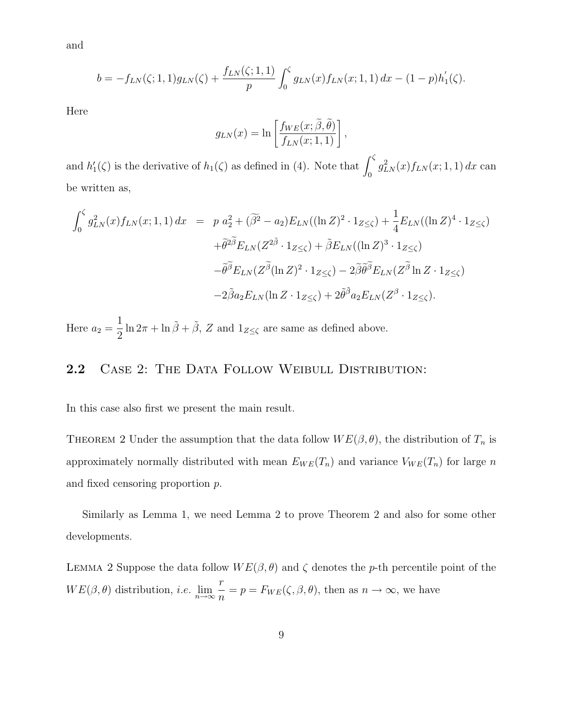and

$$
b = -f_{LN}(\zeta; 1, 1)g_{LN}(\zeta) + \frac{f_{LN}(\zeta; 1, 1)}{p} \int_0^{\zeta} g_{LN}(x) f_{LN}(x; 1, 1) dx - (1 - p)h_1'(\zeta).
$$

Here

$$
g_{LN}(x) = \ln \left[ \frac{f_{WE}(x; \tilde{\beta}, \tilde{\theta})}{f_{LN}(x; 1, 1)} \right],
$$

and  $h'_1(\zeta)$  is the derivative of  $h_1(\zeta)$  as defined in (4). Note that  $\int_0^{\zeta} g_{LN}^2(x) f_{LN}(x; 1, 1) dx$  can be written as,

$$
\int_0^{\zeta} g_{LN}^2(x) f_{LN}(x; 1, 1) dx = p a_2^2 + (\widetilde{\beta}^2 - a_2) E_{LN}((\ln Z)^2 \cdot 1_{Z \le \zeta}) + \frac{1}{4} E_{LN}((\ln Z)^4 \cdot 1_{Z \le \zeta})
$$
  
+  $\widetilde{\theta}^{2\widetilde{\beta}} E_{LN}(Z^{2\widetilde{\beta}} \cdot 1_{Z \le \zeta}) + \widetilde{\beta} E_{LN}((\ln Z)^3 \cdot 1_{Z \le \zeta})$   
-  $\widetilde{\theta}^{\widetilde{\beta}} E_{LN}(Z^{\widetilde{\beta}}(\ln Z)^2 \cdot 1_{Z \le \zeta}) - 2 \widetilde{\beta} \widetilde{\theta}^{\widetilde{\beta}} E_{LN}(Z^{\widetilde{\beta}} \ln Z \cdot 1_{Z \le \zeta})$   
-  $2 \widetilde{\beta} a_2 E_{LN}(\ln Z \cdot 1_{Z \le \zeta}) + 2 \widetilde{\theta}^{\widetilde{\beta}} a_2 E_{LN}(Z^{\beta} \cdot 1_{Z \le \zeta}).$ 

Here  $a_2 =$ 1  $\frac{1}{2} \ln 2\pi + \ln \tilde{\beta} + \tilde{\beta}$ , Z and  $1_{Z \le \zeta}$  are same as defined above.

#### 2.2 CASE 2: THE DATA FOLLOW WEIBULL DISTRIBUTION:

In this case also first we present the main result.

THEOREM 2 Under the assumption that the data follow  $WE(\beta, \theta)$ , the distribution of  $T_n$  is approximately normally distributed with mean  $E_{WE}(T_n)$  and variance  $V_{WE}(T_n)$  for large n and fixed censoring proportion p.

Similarly as Lemma 1, we need Lemma 2 to prove Theorem 2 and also for some other developments.

LEMMA 2 Suppose the data follow  $WE(\beta, \theta)$  and  $\zeta$  denotes the p-th percentile point of the  $WE(\beta, \theta)$  distribution, *i.e.*  $\lim_{n\to\infty}$ r  $\frac{\partial}{\partial n} = p = F_{WE}(\zeta, \beta, \theta)$ , then as  $n \to \infty$ , we have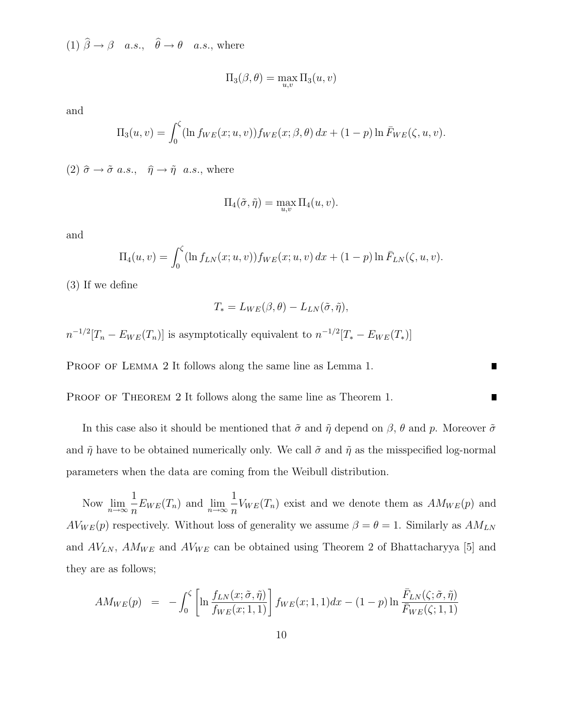(1)  $\beta \rightarrow \beta$  a.s.,  $\theta \rightarrow \theta$  a.s., where

$$
\Pi_3(\beta,\theta) = \max_{u,v} \Pi_3(u,v)
$$

and

$$
\Pi_3(u, v) = \int_0^{\zeta} (\ln f_{WE}(x; u, v)) f_{WE}(x; \beta, \theta) dx + (1 - p) \ln \bar{F}_{WE}(\zeta, u, v).
$$

(2)  $\hat{\sigma} \to \tilde{\sigma}$  a.s.,  $\hat{\eta} \to \tilde{\eta}$  a.s., where

$$
\Pi_4(\tilde{\sigma}, \tilde{\eta}) = \max_{u,v} \Pi_4(u,v).
$$

and

$$
\Pi_4(u, v) = \int_0^{\zeta} (\ln f_{LN}(x; u, v)) f_{WE}(x; u, v) dx + (1 - p) \ln \bar{F}_{LN}(\zeta, u, v).
$$

(3) If we define

$$
T_* = L_{WE}(\beta, \theta) - L_{LN}(\tilde{\sigma}, \tilde{\eta}),
$$

 $n^{-1/2}[T_n - E_{WE}(T_n)]$  is asymptotically equivalent to  $n^{-1/2}[T_* - E_{WE}(T_*)]$ 

PROOF OF LEMMA 2 It follows along the same line as Lemma 1.

PROOF OF THEOREM 2 It follows along the same line as Theorem 1.

In this case also it should be mentioned that  $\tilde{\sigma}$  and  $\tilde{\eta}$  depend on  $\beta$ ,  $\theta$  and p. Moreover  $\tilde{\sigma}$ and  $\tilde{\eta}$  have to be obtained numerically only. We call  $\tilde{\sigma}$  and  $\tilde{\eta}$  as the misspecified log-normal parameters when the data are coming from the Weibull distribution.

Now  $\lim_{n\to\infty}$ 1  $\frac{1}{n} E_{WE}(T_n)$  and  $\lim_{n \to \infty}$ 1  $\frac{1}{n}V_{WE}(T_n)$  exist and we denote them as  $AM_{WE}(p)$  and  $AV_{WE}(p)$  respectively. Without loss of generality we assume  $\beta = \theta = 1$ . Similarly as  $AM_{LN}$ and  $AV_{LN}$ ,  $AM_{WE}$  and  $AV_{WE}$  can be obtained using Theorem 2 of Bhattacharyya [5] and they are as follows;

$$
AM_{WE}(p) = -\int_0^{\zeta} \left[ \ln \frac{f_{LN}(x;\tilde{\sigma},\tilde{\eta})}{f_{WE}(x;1,1)} \right] f_{WE}(x;1,1) dx - (1-p) \ln \frac{\bar{F}_{LN}(\zeta;\tilde{\sigma},\tilde{\eta})}{\bar{F}_{WE}(\zeta;1,1)}
$$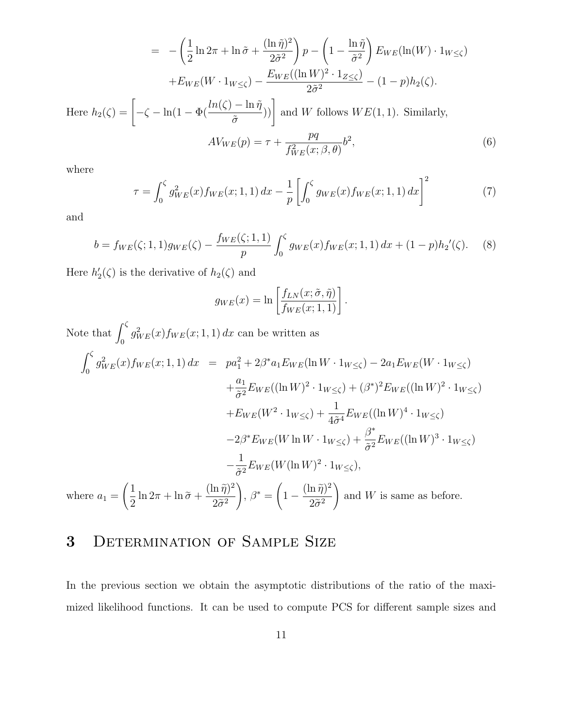$$
= -\left(\frac{1}{2}\ln 2\pi + \ln \tilde{\sigma} + \frac{(\ln \tilde{\eta})^2}{2\tilde{\sigma}^2}\right)p - \left(1 - \frac{\ln \tilde{\eta}}{\tilde{\sigma}^2}\right)E_{WE}(\ln(W) \cdot 1_{W \le \zeta})
$$

$$
+ E_{WE}(W \cdot 1_{W \le \zeta}) - \frac{E_{WE}((\ln W)^2 \cdot 1_{Z \le \zeta})}{2\tilde{\sigma}^2} - (1 - p)h_2(\zeta).
$$
  
Here  $h_2(\zeta) = \left[-\zeta - \ln(1 - \Phi(\frac{\ln(\zeta) - \ln \tilde{\eta}}{\tilde{\sigma}}))\right]$  and W follows  $WE(1, 1)$ . Similarly,
$$
A V_{WE}(p) = \tau + \frac{pq}{f_{WE}^2(x; \beta, \theta)}b^2,
$$
(6)

where

$$
\tau = \int_0^{\zeta} g_{WE}^2(x) f_{WE}(x; 1, 1) dx - \frac{1}{p} \left[ \int_0^{\zeta} g_{WE}(x) f_{WE}(x; 1, 1) dx \right]^2 \tag{7}
$$

and

$$
b = f_{WE}(\zeta; 1, 1)g_{WE}(\zeta) - \frac{f_{WE}(\zeta; 1, 1)}{p} \int_0^{\zeta} g_{WE}(x) f_{WE}(x; 1, 1) dx + (1 - p)h_2'(\zeta). \tag{8}
$$

Here  $h'_2(\zeta)$  is the derivative of  $h_2(\zeta)$  and

$$
g_{WE}(x) = \ln \left[ \frac{f_{LN}(x; \tilde{\sigma}, \tilde{\eta})}{f_{WE}(x; 1, 1)} \right].
$$

Note that  $\int_0^{\zeta} g_{WE}^2(x) f_{WE}(x; 1, 1) dx$  can be written as

$$
\int_0^{\zeta} g_{WE}^2(x) f_{WE}(x; 1, 1) dx = pa_1^2 + 2\beta^* a_1 E_{WE}(\ln W \cdot 1_{W \leq \zeta}) - 2a_1 E_{WE}(W \cdot 1_{W \leq \zeta})
$$
  
\n
$$
+ \frac{a_1}{\tilde{\sigma}^2} E_{WE}((\ln W)^2 \cdot 1_{W \leq \zeta}) + (\beta^*)^2 E_{WE}((\ln W)^2 \cdot 1_{W \leq \zeta})
$$
  
\n
$$
+ E_{WE}(W^2 \cdot 1_{W \leq \zeta}) + \frac{1}{4\tilde{\sigma}^4} E_{WE}((\ln W)^4 \cdot 1_{W \leq \zeta})
$$
  
\n
$$
- 2\beta^* E_{WE}(W \ln W \cdot 1_{W \leq \zeta}) + \frac{\beta^*}{\tilde{\sigma}^2} E_{WE}((\ln W)^3 \cdot 1_{W \leq \zeta})
$$
  
\n
$$
- \frac{1}{\tilde{\sigma}^2} E_{WE}(W(\ln W)^2 \cdot 1_{W \leq \zeta}),
$$
  
\nwhere  $a_1 = \left(\frac{1}{2} \ln 2\pi + \ln \tilde{\sigma} + \frac{(\ln \tilde{\eta})^2}{2\tilde{\sigma}^2}\right), \beta^* = \left(1 - \frac{(\ln \tilde{\eta})^2}{2\tilde{\sigma}^2}\right)$  and  $W$  is same as before.

## 3 Determination of Sample Size

In the previous section we obtain the asymptotic distributions of the ratio of the maximized likelihood functions. It can be used to compute PCS for different sample sizes and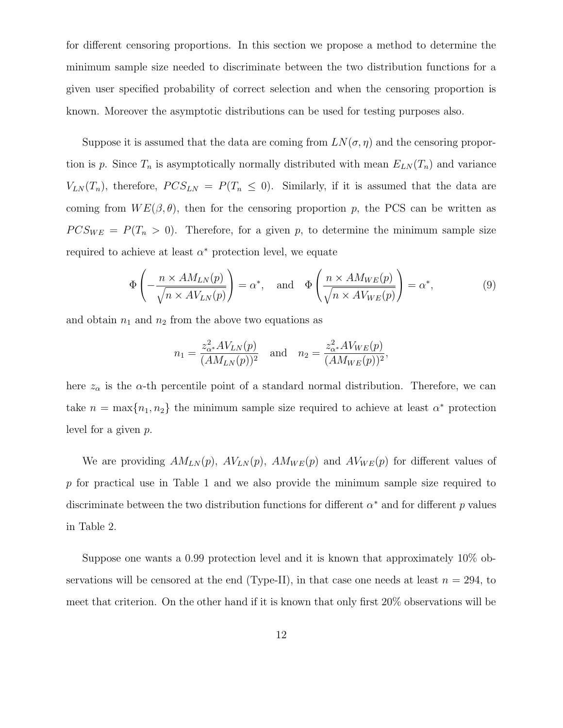for different censoring proportions. In this section we propose a method to determine the minimum sample size needed to discriminate between the two distribution functions for a given user specified probability of correct selection and when the censoring proportion is known. Moreover the asymptotic distributions can be used for testing purposes also.

Suppose it is assumed that the data are coming from  $LN(\sigma, \eta)$  and the censoring proportion is p. Since  $T_n$  is asymptotically normally distributed with mean  $E_{LN}(T_n)$  and variance  $V_{LN}(T_n)$ , therefore,  $PCS_{LN} = P(T_n \le 0)$ . Similarly, if it is assumed that the data are coming from  $WE(\beta, \theta)$ , then for the censoring proportion p, the PCS can be written as  $PCS_{WE} = P(T_n > 0)$ . Therefore, for a given p, to determine the minimum sample size required to achieve at least  $\alpha^*$  protection level, we equate

$$
\Phi\left(-\frac{n \times AM_{LN}(p)}{\sqrt{n \times AV_{LN}(p)}}\right) = \alpha^*, \text{ and } \Phi\left(\frac{n \times AM_{WE}(p)}{\sqrt{n \times AV_{WE}(p)}}\right) = \alpha^*,
$$
\n(9)

and obtain  $n_1$  and  $n_2$  from the above two equations as

$$
n_1 = \frac{z_{\alpha^*}^2 A V_{LN}(p)}{(AM_{LN}(p))^2} \quad \text{and} \quad n_2 = \frac{z_{\alpha^*}^2 A V_{WE}(p)}{(AM_{WE}(p))^2},
$$

here  $z_{\alpha}$  is the  $\alpha$ -th percentile point of a standard normal distribution. Therefore, we can take  $n = \max\{n_1, n_2\}$  the minimum sample size required to achieve at least  $\alpha^*$  protection level for a given p.

We are providing  $AM_{LN}(p)$ ,  $AV_{LN}(p)$ ,  $AM_{WE}(p)$  and  $AV_{WE}(p)$  for different values of p for practical use in Table 1 and we also provide the minimum sample size required to discriminate between the two distribution functions for different  $\alpha^*$  and for different p values in Table 2.

Suppose one wants a 0.99 protection level and it is known that approximately 10% observations will be censored at the end (Type-II), in that case one needs at least  $n = 294$ , to meet that criterion. On the other hand if it is known that only first 20% observations will be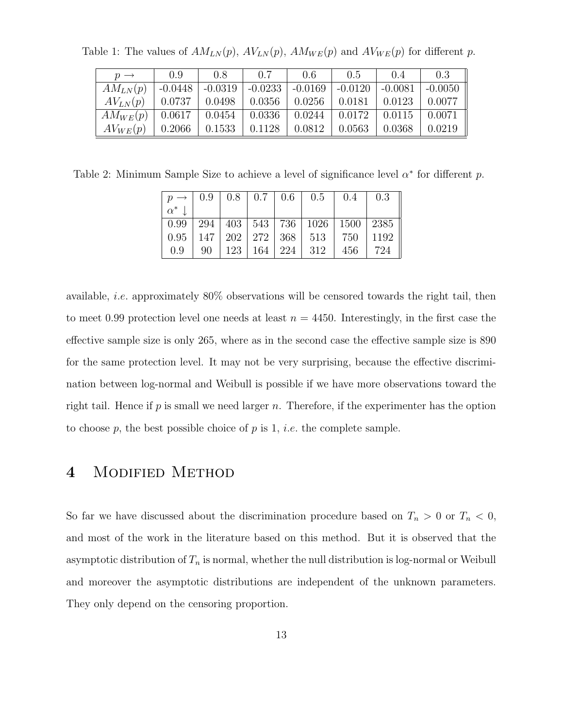| $p \rightarrow$ | 0.9    | 0.8                                           | 0.7             | 0.6    | 0.5                             | (0.4)               | 0.3           |
|-----------------|--------|-----------------------------------------------|-----------------|--------|---------------------------------|---------------------|---------------|
| $AM_{LN}(p)$    |        | $-0.0448$   $-0.0319$   $-0.0233$   $-0.0169$ |                 |        | $\vert$ -0.0120 $\vert$ -0.0081 |                     | $-0.0050$     |
| $AV_{LN}(p)$    |        | $0.0737$   $0.0498$   $0.0356$   $0.0256$     |                 |        | $\vert 0.0181 \vert 0.0123$     |                     | 0.0077        |
| $AM_{WE}(p)$    |        | $0.0617$   $0.0454$                           | $0.0336$ 0.0244 |        |                                 | $0.0172 \pm 0.0115$ | $\mid$ 0.0071 |
| $AV_{WE}(p)$    | 0.2066 | 0.1533                                        | $\big  0.1128$  | 0.0812 | 0.0563                          | 0.0368              | 0.0219        |

Table 1: The values of  $AM_{LN}(p)$ ,  $AV_{LN}(p)$ ,  $AM_{WE}(p)$  and  $AV_{WE}(p)$  for different p.

Table 2: Minimum Sample Size to achieve a level of significance level  $\alpha^*$  for different p.

|            |  |  | $p \rightarrow 0.9$   0.8   0.7   0.6   0.5   0.4                 |     | 0.3  |
|------------|--|--|-------------------------------------------------------------------|-----|------|
| $\alpha^*$ |  |  |                                                                   |     |      |
|            |  |  | 0.99   294   403   543   736   1026   1500   2385                 |     |      |
|            |  |  | $\mid 0.95 \mid 147 \mid 202 \mid 272 \mid 368 \mid 513 \mid 750$ |     | 1192 |
| 0.9        |  |  | $90 \mid 123 \mid 164 \mid 224 \mid 312$                          | 456 | 724  |

available, i.e. approximately 80% observations will be censored towards the right tail, then to meet 0.99 protection level one needs at least  $n = 4450$ . Interestingly, in the first case the effective sample size is only 265, where as in the second case the effective sample size is 890 for the same protection level. It may not be very surprising, because the effective discrimination between log-normal and Weibull is possible if we have more observations toward the right tail. Hence if  $p$  is small we need larger  $n$ . Therefore, if the experimenter has the option to choose p, the best possible choice of p is 1, *i.e.* the complete sample.

### 4 Modified Method

So far we have discussed about the discrimination procedure based on  $T_n > 0$  or  $T_n < 0$ , and most of the work in the literature based on this method. But it is observed that the asymptotic distribution of  $T_n$  is normal, whether the null distribution is log-normal or Weibull and moreover the asymptotic distributions are independent of the unknown parameters. They only depend on the censoring proportion.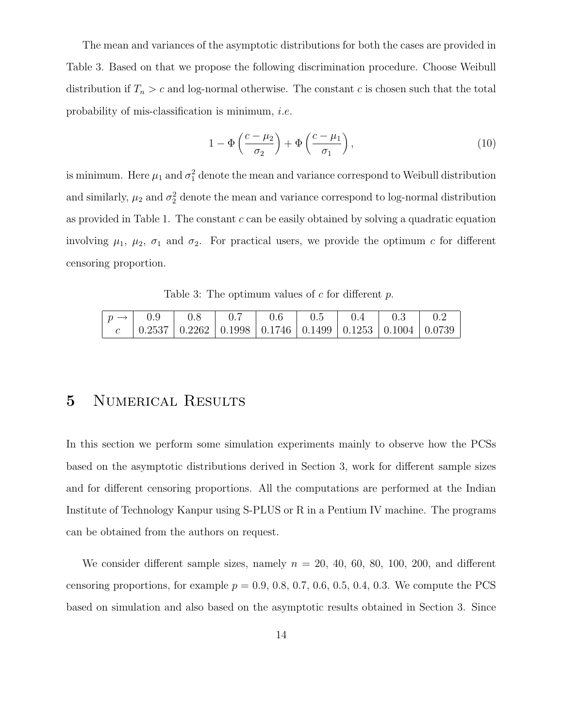The mean and variances of the asymptotic distributions for both the cases are provided in Table 3. Based on that we propose the following discrimination procedure. Choose Weibull distribution if  $T_n > c$  and log-normal otherwise. The constant c is chosen such that the total probability of mis-classification is minimum, i.e.

$$
1 - \Phi\left(\frac{c - \mu_2}{\sigma_2}\right) + \Phi\left(\frac{c - \mu_1}{\sigma_1}\right),\tag{10}
$$

is minimum. Here  $\mu_1$  and  $\sigma_1^2$  denote the mean and variance correspond to Weibull distribution and similarly,  $\mu_2$  and  $\sigma_2^2$  denote the mean and variance correspond to log-normal distribution as provided in Table 1. The constant  $c$  can be easily obtained by solving a quadratic equation involving  $\mu_1$ ,  $\mu_2$ ,  $\sigma_1$  and  $\sigma_2$ . For practical users, we provide the optimum c for different censoring proportion.

Table 3: The optimum values of  $c$  for different  $p$ .

| $p \rightarrow 1$ |                                                                                                   | 0.8 | 0.7 | $1 \quad 0.6$ | 0.5 | (1.4) | $\pm 0.3$ | -02 |
|-------------------|---------------------------------------------------------------------------------------------------|-----|-----|---------------|-----|-------|-----------|-----|
|                   | $\mid 0.2537 \mid 0.2262 \mid 0.1998 \mid 0.1746 \mid 0.1499 \mid 0.1253 \mid 0.1004 \mid 0.0739$ |     |     |               |     |       |           |     |

#### 5 NUMERICAL RESULTS

In this section we perform some simulation experiments mainly to observe how the PCSs based on the asymptotic distributions derived in Section 3, work for different sample sizes and for different censoring proportions. All the computations are performed at the Indian Institute of Technology Kanpur using S-PLUS or R in a Pentium IV machine. The programs can be obtained from the authors on request.

We consider different sample sizes, namely  $n = 20, 40, 60, 80, 100, 200,$  and different censoring proportions, for example  $p = 0.9, 0.8, 0.7, 0.6, 0.5, 0.4, 0.3$ . We compute the PCS based on simulation and also based on the asymptotic results obtained in Section 3. Since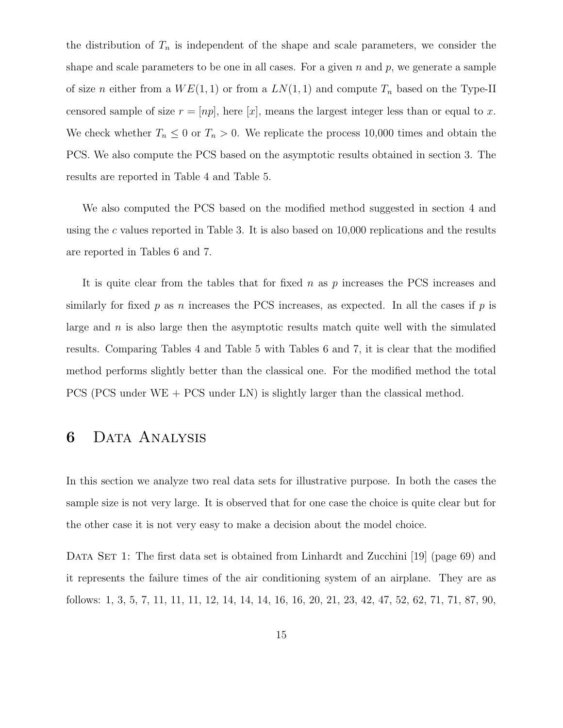the distribution of  $T_n$  is independent of the shape and scale parameters, we consider the shape and scale parameters to be one in all cases. For a given  $n$  and  $p$ , we generate a sample of size n either from a  $WE(1, 1)$  or from a  $LN(1, 1)$  and compute  $T_n$  based on the Type-II censored sample of size  $r = [np]$ , here [x], means the largest integer less than or equal to x. We check whether  $T_n \leq 0$  or  $T_n > 0$ . We replicate the process 10,000 times and obtain the PCS. We also compute the PCS based on the asymptotic results obtained in section 3. The results are reported in Table 4 and Table 5.

We also computed the PCS based on the modified method suggested in section 4 and using the c values reported in Table 3. It is also based on  $10,000$  replications and the results are reported in Tables 6 and 7.

It is quite clear from the tables that for fixed  $n$  as  $p$  increases the PCS increases and similarly for fixed p as n increases the PCS increases, as expected. In all the cases if p is large and  $n$  is also large then the asymptotic results match quite well with the simulated results. Comparing Tables 4 and Table 5 with Tables 6 and 7, it is clear that the modified method performs slightly better than the classical one. For the modified method the total PCS (PCS under WE + PCS under LN) is slightly larger than the classical method.

#### 6 Data Analysis

In this section we analyze two real data sets for illustrative purpose. In both the cases the sample size is not very large. It is observed that for one case the choice is quite clear but for the other case it is not very easy to make a decision about the model choice.

DATA SET 1: The first data set is obtained from Linhardt and Zucchini [19] (page 69) and it represents the failure times of the air conditioning system of an airplane. They are as follows: 1, 3, 5, 7, 11, 11, 11, 12, 14, 14, 14, 16, 16, 20, 21, 23, 42, 47, 52, 62, 71, 71, 87, 90,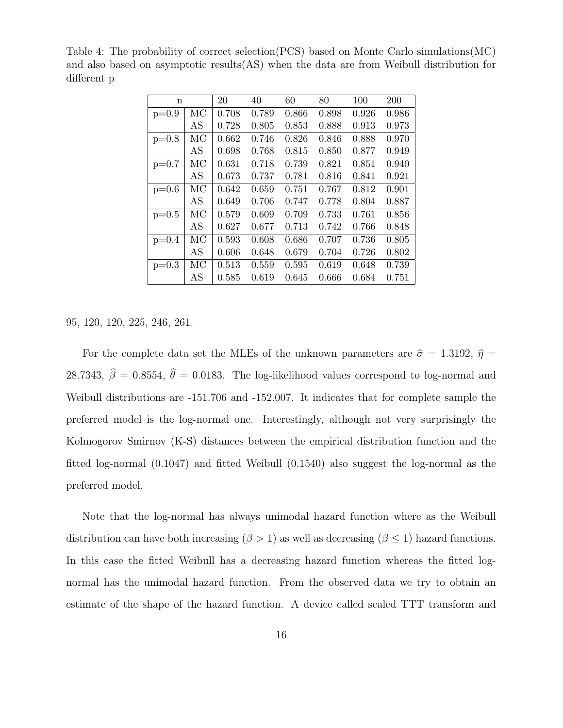| n       |    | 20    | 40    | 60    | 80    | 100   | 200   |
|---------|----|-------|-------|-------|-------|-------|-------|
| $p=0.9$ | MC | 0.708 | 0.789 | 0.866 | 0.898 | 0.926 | 0.986 |
|         | AS | 0.728 | 0.805 | 0.853 | 0.888 | 0.913 | 0.973 |
| $p=0.8$ | MC | 0.662 | 0.746 | 0.826 | 0.846 | 0.888 | 0.970 |
|         | AS | 0.698 | 0.768 | 0.815 | 0.850 | 0.877 | 0.949 |
| $p=0.7$ | МC | 0.631 | 0.718 | 0.739 | 0.821 | 0.851 | 0.940 |
|         | AS | 0.673 | 0.737 | 0.781 | 0.816 | 0.841 | 0.921 |
| $p=0.6$ | МC | 0.642 | 0.659 | 0.751 | 0.767 | 0.812 | 0.901 |
|         | AS | 0.649 | 0.706 | 0.747 | 0.778 | 0.804 | 0.887 |
| $p=0.5$ | МC | 0.579 | 0.609 | 0.709 | 0.733 | 0.761 | 0.856 |
|         | AS | 0.627 | 0.677 | 0.713 | 0.742 | 0.766 | 0.848 |
| $p=0.4$ | МC | 0.593 | 0.608 | 0.686 | 0.707 | 0.736 | 0.805 |
|         | AS | 0.606 | 0.648 | 0.679 | 0.704 | 0.726 | 0.802 |
| $p=0.3$ | МC | 0.513 | 0.559 | 0.595 | 0.619 | 0.648 | 0.739 |
|         | AS | 0.585 | 0.619 | 0.645 | 0.666 | 0.684 | 0.751 |

Table 4: The probability of correct selection(PCS) based on Monte Carlo simulations(MC) and also based on asymptotic results(AS) when the data are from Weibull distribution for different p

95, 120, 120, 225, 246, 261.

For the complete data set the MLEs of the unknown parameters are  $\hat{\sigma} = 1.3192$ ,  $\hat{\eta} =$ 28.7343,  $\hat{\beta} = 0.8554$ ,  $\hat{\theta} = 0.0183$ . The log-likelihood values correspond to log-normal and Weibull distributions are -151.706 and -152.007. It indicates that for complete sample the preferred model is the log-normal one. Interestingly, although not very surprisingly the Kolmogorov Smirnov (K-S) distances between the empirical distribution function and the fitted log-normal (0.1047) and fitted Weibull (0.1540) also suggest the log-normal as the preferred model.

Note that the log-normal has always unimodal hazard function where as the Weibull distribution can have both increasing  $(\beta > 1)$  as well as decreasing  $(\beta \leq 1)$  hazard functions. In this case the fitted Weibull has a decreasing hazard function whereas the fitted lognormal has the unimodal hazard function. From the observed data we try to obtain an estimate of the shape of the hazard function. A device called scaled TTT transform and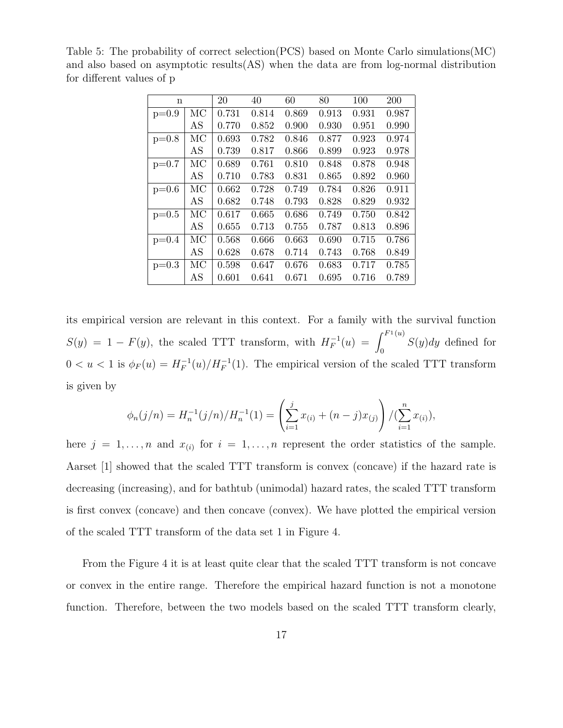| $\mathbf n$ |    | 20    | 40    | 60    | 80    | 100   | 200   |
|-------------|----|-------|-------|-------|-------|-------|-------|
| $p=0.9$     | MC | 0.731 | 0.814 | 0.869 | 0.913 | 0.931 | 0.987 |
|             | AS | 0.770 | 0.852 | 0.900 | 0.930 | 0.951 | 0.990 |
| $p=0.8$     | MC | 0.693 | 0.782 | 0.846 | 0.877 | 0.923 | 0.974 |
|             | AS | 0.739 | 0.817 | 0.866 | 0.899 | 0.923 | 0.978 |
| $p=0.7$     | МC | 0.689 | 0.761 | 0.810 | 0.848 | 0.878 | 0.948 |
|             | AS | 0.710 | 0.783 | 0.831 | 0.865 | 0.892 | 0.960 |
| $p=0.6$     | МC | 0.662 | 0.728 | 0.749 | 0.784 | 0.826 | 0.911 |
|             | AS | 0.682 | 0.748 | 0.793 | 0.828 | 0.829 | 0.932 |
| $p=0.5$     | МC | 0.617 | 0.665 | 0.686 | 0.749 | 0.750 | 0.842 |
|             | AS | 0.655 | 0.713 | 0.755 | 0.787 | 0.813 | 0.896 |
| $p=0.4$     | МC | 0.568 | 0.666 | 0.663 | 0.690 | 0.715 | 0.786 |
|             | AS | 0.628 | 0.678 | 0.714 | 0.743 | 0.768 | 0.849 |
| $p=0.3$     | МC | 0.598 | 0.647 | 0.676 | 0.683 | 0.717 | 0.785 |
|             | AS | 0.601 | 0.641 | 0.671 | 0.695 | 0.716 | 0.789 |

Table 5: The probability of correct selection(PCS) based on Monte Carlo simulations(MC) and also based on asymptotic results(AS) when the data are from log-normal distribution for different values of p

its empirical version are relevant in this context. For a family with the survival function  $S(y) = 1 - F(y)$ , the scaled TTT transform, with  $H_F^{-1}(u) = \int_0^{F_1(u)}$  $S(y)dy$  defined for  $0 < u < 1$  is  $\phi_F(u) = H_F^{-1}(u)/H_F^{-1}(1)$ . The empirical version of the scaled TTT transform is given by

$$
\phi_n(j/n) = H_n^{-1}(j/n)/H_n^{-1}(1) = \left(\sum_{i=1}^j x_{(i)} + (n-j)x_{(j)}\right)/(\sum_{i=1}^n x_{(i)}),
$$

here  $j = 1, \ldots, n$  and  $x_{(i)}$  for  $i = 1, \ldots, n$  represent the order statistics of the sample. Aarset [1] showed that the scaled TTT transform is convex (concave) if the hazard rate is decreasing (increasing), and for bathtub (unimodal) hazard rates, the scaled TTT transform is first convex (concave) and then concave (convex). We have plotted the empirical version of the scaled TTT transform of the data set 1 in Figure 4.

From the Figure 4 it is at least quite clear that the scaled TTT transform is not concave or convex in the entire range. Therefore the empirical hazard function is not a monotone function. Therefore, between the two models based on the scaled TTT transform clearly,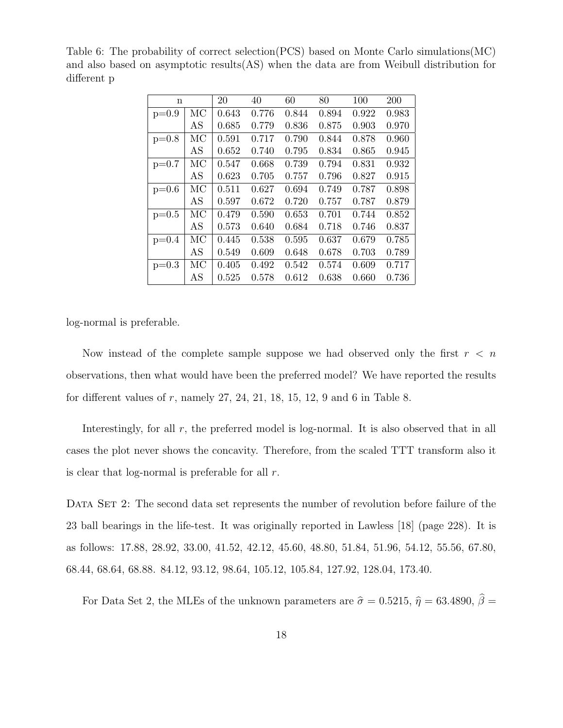| n       |    | 20    | 40    | 60    | 80    | 100   | 200   |
|---------|----|-------|-------|-------|-------|-------|-------|
| $p=0.9$ | MC | 0.643 | 0.776 | 0.844 | 0.894 | 0.922 | 0.983 |
|         | AS | 0.685 | 0.779 | 0.836 | 0.875 | 0.903 | 0.970 |
| $p=0.8$ | МC | 0.591 | 0.717 | 0.790 | 0.844 | 0.878 | 0.960 |
|         | AS | 0.652 | 0.740 | 0.795 | 0.834 | 0.865 | 0.945 |
| $p=0.7$ | МC | 0.547 | 0.668 | 0.739 | 0.794 | 0.831 | 0.932 |
|         | AS | 0.623 | 0.705 | 0.757 | 0.796 | 0.827 | 0.915 |
| $p=0.6$ | MC | 0.511 | 0.627 | 0.694 | 0.749 | 0.787 | 0.898 |
|         | AS | 0.597 | 0.672 | 0.720 | 0.757 | 0.787 | 0.879 |
| $p=0.5$ | MC | 0.479 | 0.590 | 0.653 | 0.701 | 0.744 | 0.852 |
|         | AS | 0.573 | 0.640 | 0.684 | 0.718 | 0.746 | 0.837 |
| $p=0.4$ | MC | 0.445 | 0.538 | 0.595 | 0.637 | 0.679 | 0.785 |
|         | AS | 0.549 | 0.609 | 0.648 | 0.678 | 0.703 | 0.789 |
| $p=0.3$ | МC | 0.405 | 0.492 | 0.542 | 0.574 | 0.609 | 0.717 |
|         | AS | 0.525 | 0.578 | 0.612 | 0.638 | 0.660 | 0.736 |

Table 6: The probability of correct selection(PCS) based on Monte Carlo simulations(MC) and also based on asymptotic results(AS) when the data are from Weibull distribution for different p

log-normal is preferable.

Now instead of the complete sample suppose we had observed only the first  $r < n$ observations, then what would have been the preferred model? We have reported the results for different values of  $r$ , namely  $27, 24, 21, 18, 15, 12, 9$  and  $6$  in Table 8.

Interestingly, for all  $r$ , the preferred model is log-normal. It is also observed that in all cases the plot never shows the concavity. Therefore, from the scaled TTT transform also it is clear that log-normal is preferable for all  $r$ .

DATA SET 2: The second data set represents the number of revolution before failure of the 23 ball bearings in the life-test. It was originally reported in Lawless [18] (page 228). It is as follows: 17.88, 28.92, 33.00, 41.52, 42.12, 45.60, 48.80, 51.84, 51.96, 54.12, 55.56, 67.80, 68.44, 68.64, 68.88. 84.12, 93.12, 98.64, 105.12, 105.84, 127.92, 128.04, 173.40.

For Data Set 2, the MLEs of the unknown parameters are  $\hat{\sigma} = 0.5215, \hat{\eta} = 63.4890, \hat{\beta} =$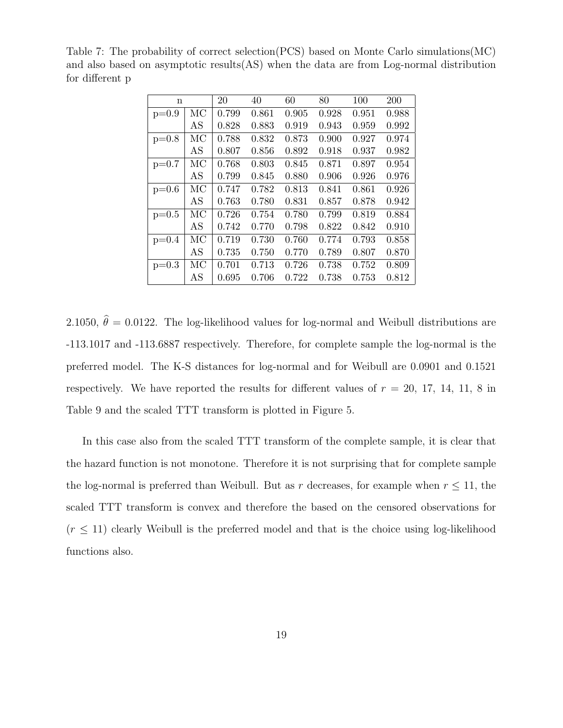| $\mathbf n$ |    | 20    | 40    | 60    | 80    | 100   | 200   |
|-------------|----|-------|-------|-------|-------|-------|-------|
| $p=0.9$     | МC | 0.799 | 0.861 | 0.905 | 0.928 | 0.951 | 0.988 |
|             | AS | 0.828 | 0.883 | 0.919 | 0.943 | 0.959 | 0.992 |
| $p=0.8$     | MC | 0.788 | 0.832 | 0.873 | 0.900 | 0.927 | 0.974 |
|             | AS | 0.807 | 0.856 | 0.892 | 0.918 | 0.937 | 0.982 |
| $p=0.7$     | МC | 0.768 | 0.803 | 0.845 | 0.871 | 0.897 | 0.954 |
|             | AS | 0.799 | 0.845 | 0.880 | 0.906 | 0.926 | 0.976 |
| $p=0.6$     | МC | 0.747 | 0.782 | 0.813 | 0.841 | 0.861 | 0.926 |
|             | AS | 0.763 | 0.780 | 0.831 | 0.857 | 0.878 | 0.942 |
| $p=0.5$     | МC | 0.726 | 0.754 | 0.780 | 0.799 | 0.819 | 0.884 |
|             | AS | 0.742 | 0.770 | 0.798 | 0.822 | 0.842 | 0.910 |
| $p=0.4$     | МC | 0.719 | 0.730 | 0.760 | 0.774 | 0.793 | 0.858 |
|             | AS | 0.735 | 0.750 | 0.770 | 0.789 | 0.807 | 0.870 |
| $p=0.3$     | МC | 0.701 | 0.713 | 0.726 | 0.738 | 0.752 | 0.809 |
|             | AS | 0.695 | 0.706 | 0.722 | 0.738 | 0.753 | 0.812 |

Table 7: The probability of correct selection(PCS) based on Monte Carlo simulations(MC) and also based on asymptotic results(AS) when the data are from Log-normal distribution for different p

2.1050,  $\hat{\theta} = 0.0122$ . The log-likelihood values for log-normal and Weibull distributions are -113.1017 and -113.6887 respectively. Therefore, for complete sample the log-normal is the preferred model. The K-S distances for log-normal and for Weibull are 0.0901 and 0.1521 respectively. We have reported the results for different values of  $r = 20, 17, 14, 11, 8$  in Table 9 and the scaled TTT transform is plotted in Figure 5.

In this case also from the scaled TTT transform of the complete sample, it is clear that the hazard function is not monotone. Therefore it is not surprising that for complete sample the log-normal is preferred than Weibull. But as r decreases, for example when  $r \leq 11$ , the scaled TTT transform is convex and therefore the based on the censored observations for  $(r \leq 11)$  clearly Weibull is the preferred model and that is the choice using log-likelihood functions also.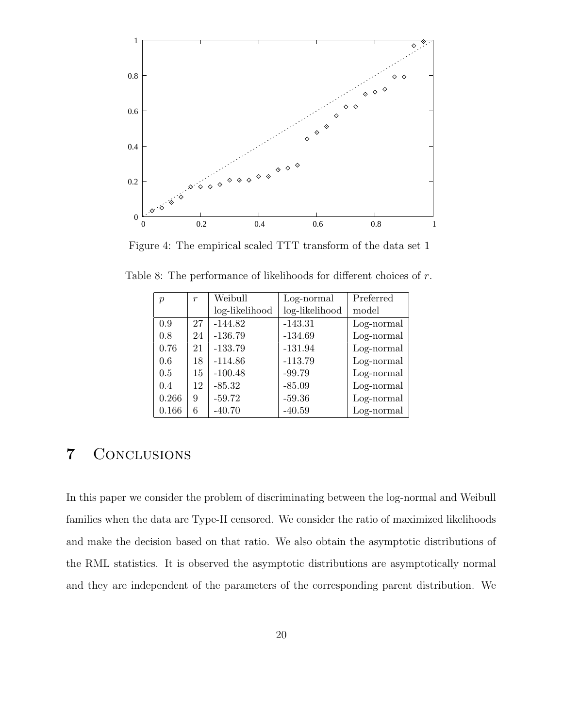

Figure 4: The empirical scaled TTT transform of the data set 1

| $\mathcal{p}$ | $\boldsymbol{r}$ | Weibull        | Log-normal     | Preferred  |
|---------------|------------------|----------------|----------------|------------|
|               |                  | log-likelihood | log-likelihood | model      |
| 0.9           | 27               | $-144.82$      | $-143.31$      | Log-normal |
| 0.8           | 24               | $-136.79$      | $-134.69$      | Log-normal |
| 0.76          | 21               | $-133.79$      | $-131.94$      | Log-normal |
| 0.6           | 18               | $-114.86$      | $-113.79$      | Log-normal |
| 0.5           | 15               | $-100.48$      | $-99.79$       | Log-normal |
| 0.4           | 12               | $-85.32$       | $-85.09$       | Log-normal |
| 0.266         | 9                | $-59.72$       | $-59.36$       | Log-normal |
| 0.166         | 6                | $-40.70$       | $-40.59$       | Log-normal |

Table 8: The performance of likelihoods for different choices of r.

### 7 Conclusions

In this paper we consider the problem of discriminating between the log-normal and Weibull families when the data are Type-II censored. We consider the ratio of maximized likelihoods and make the decision based on that ratio. We also obtain the asymptotic distributions of the RML statistics. It is observed the asymptotic distributions are asymptotically normal and they are independent of the parameters of the corresponding parent distribution. We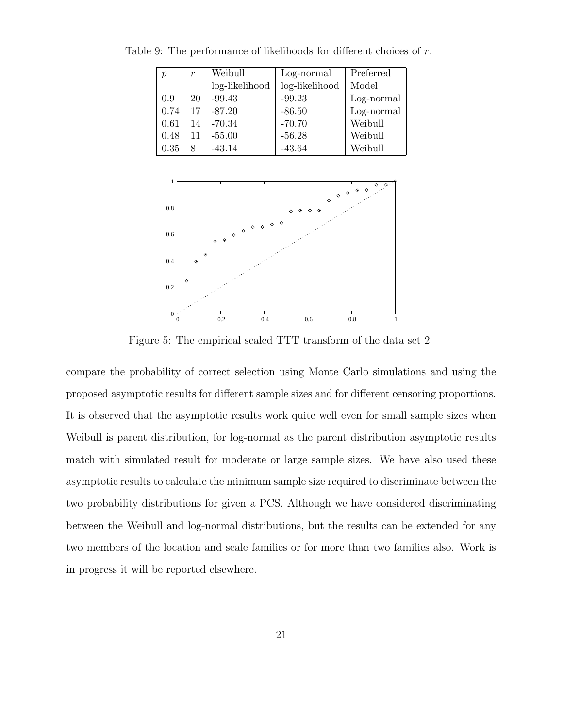| $\boldsymbol{\eta}$ | $\boldsymbol{r}$ | Weibull        | Log-normal     | Preferred  |
|---------------------|------------------|----------------|----------------|------------|
|                     |                  | log-likelihood | log-likelihood | Model      |
| 0.9                 | 20               | $-99.43$       | $-99.23$       | Log-normal |
| 0.74                | 17               | $-87.20$       | $-86.50$       | Log-normal |
| 0.61                | 14               | $-70.34$       | $-70.70$       | Weibull    |
| 0.48                | 11               | $-55.00$       | $-56.28$       | Weibull    |
| $0.35\,$            |                  | $-43.14$       | $-43.64$       | Weibull    |

Table 9: The performance of likelihoods for different choices of r.

![](_page_20_Figure_2.jpeg)

Figure 5: The empirical scaled TTT transform of the data set 2

compare the probability of correct selection using Monte Carlo simulations and using the proposed asymptotic results for different sample sizes and for different censoring proportions. It is observed that the asymptotic results work quite well even for small sample sizes when Weibull is parent distribution, for log-normal as the parent distribution asymptotic results match with simulated result for moderate or large sample sizes. We have also used these asymptotic results to calculate the minimum sample size required to discriminate between the two probability distributions for given a PCS. Although we have considered discriminating between the Weibull and log-normal distributions, but the results can be extended for any two members of the location and scale families or for more than two families also. Work is in progress it will be reported elsewhere.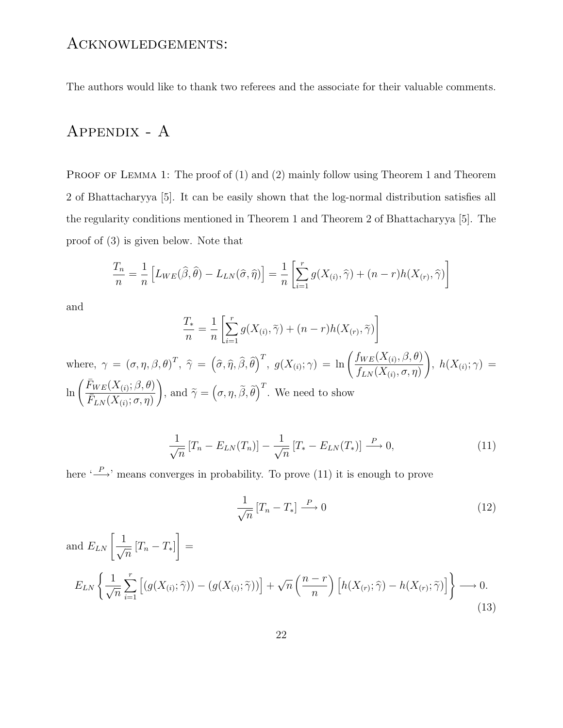#### Acknowledgements:

The authors would like to thank two referees and the associate for their valuable comments.

### Appendix - A

PROOF OF LEMMA 1: The proof of (1) and (2) mainly follow using Theorem 1 and Theorem 2 of Bhattacharyya [5]. It can be easily shown that the log-normal distribution satisfies all the regularity conditions mentioned in Theorem 1 and Theorem 2 of Bhattacharyya [5]. The proof of (3) is given below. Note that

$$
\frac{T_n}{n} = \frac{1}{n} \left[ L_{WE}(\widehat{\beta}, \widehat{\theta}) - L_{LN}(\widehat{\sigma}, \widehat{\eta}) \right] = \frac{1}{n} \left[ \sum_{i=1}^r g(X_{(i)}, \widehat{\gamma}) + (n - r)h(X_{(r)}, \widehat{\gamma}) \right]
$$

and

$$
\frac{T_*}{n} = \frac{1}{n} \left[ \sum_{i=1}^r g(X_{(i)}, \tilde{\gamma}) + (n - r)h(X_{(r)}, \tilde{\gamma}) \right]
$$

where,  $\gamma = (\sigma, \eta, \beta, \theta)^T$ ,  $\hat{\gamma} = (\hat{\sigma}, \hat{\eta}, \hat{\beta}, \hat{\theta})^T$ ,  $g(X_{(i)}; \gamma) = \ln \left( \frac{f_{WE}(X_{(i)}, \beta, \theta)}{f_{LN}(X_{(i)}, \sigma, \eta)} \right)$  $f_{LN}(X_{(i)}, \sigma, \eta)$  $\setminus$  $h(X_{(i)};\gamma) =$  $\ln\left(\frac{\bar{F}_{WE}(X_{(i)};\beta,\theta)}{\bar{F}_{(i)}(X_{(i)}},\theta)\right)$  $\bar{F}_{LN}(X_{(i)};\sigma,\eta)$  $\setminus$ , and  $\widetilde{\gamma} = (\sigma, \eta, \widetilde{\beta}, \widetilde{\theta})^T$ . We need to show

$$
\frac{1}{\sqrt{n}}\left[T_n - E_{LN}(T_n)\right] - \frac{1}{\sqrt{n}}\left[T_* - E_{LN}(T_*)\right] \stackrel{P}{\longrightarrow} 0,\tag{11}
$$

here  $\stackrel{\cdot P}{\longrightarrow}$  means converges in probability. To prove (11) it is enough to prove

$$
\frac{1}{\sqrt{n}}\left[T_n - T_*\right] \xrightarrow{P} 0\tag{12}
$$

and  $E_{LN}$   $\left[\frac{1}{\sqrt{2}}\right]$  $\frac{1}{\sqrt{n}}$   $[T_n - T_*]$  $\overline{1}$ =  $E_{LN} \left\{ \frac{1}{\sqrt{2}} \right\}$  $\sqrt{n}$  $\sum_{r}$  $\frac{i=1}{i}$  $\left[ (g(X_{(i)}; \hat{\gamma})) - (g(X_{(i)}; \tilde{\gamma})) \right] + \sqrt{n} \left( \frac{n-r}{n} \right)$ n  $\left[h(X_{(r)};\widehat{\gamma}) - h(X_{(r)};\widetilde{\gamma})\right]\right\}$  $\longrightarrow$  0. (13)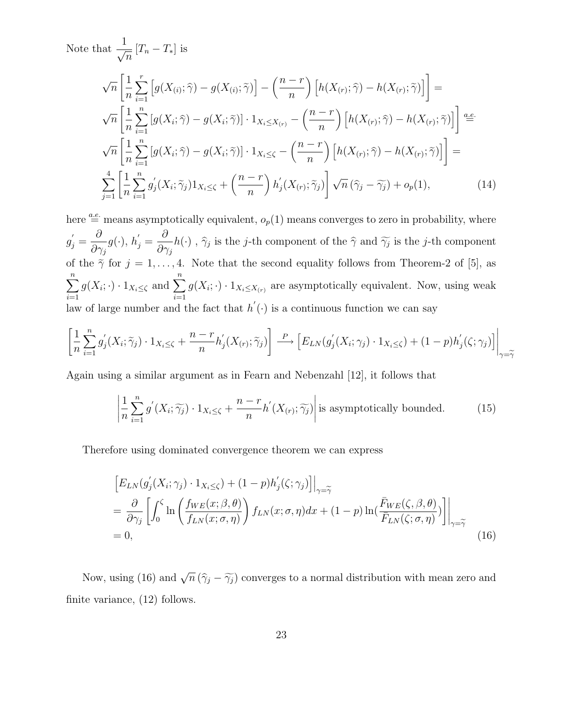Note that 
$$
\frac{1}{\sqrt{n}} [T_n - T_*] \text{ is}
$$
\n
$$
\sqrt{n} \left[ \frac{1}{n} \sum_{i=1}^r \left[ g(X_{(i)}; \hat{\gamma}) - g(X_{(i)}; \tilde{\gamma}) \right] - \left( \frac{n-r}{n} \right) \left[ h(X_{(r)}; \hat{\gamma}) - h(X_{(r)}; \tilde{\gamma}) \right] \right] =
$$
\n
$$
\sqrt{n} \left[ \frac{1}{n} \sum_{i=1}^n \left[ g(X_i; \hat{\gamma}) - g(X_i; \tilde{\gamma}) \right] \cdot 1_{X_i \le X_{(r)}} - \left( \frac{n-r}{n} \right) \left[ h(X_{(r)}; \hat{\gamma}) - h(X_{(r)}; \tilde{\gamma}) \right] \right] \stackrel{def}{=} \sqrt{n} \left[ \frac{1}{n} \sum_{i=1}^n \left[ g(X_i; \hat{\gamma}) - g(X_i; \tilde{\gamma}) \right] \cdot 1_{X_i \le \zeta} - \left( \frac{n-r}{n} \right) \left[ h(X_{(r)}; \hat{\gamma}) - h(X_{(r)}; \tilde{\gamma}) \right] \right] =
$$
\n
$$
\sum_{j=1}^4 \left[ \frac{1}{n} \sum_{i=1}^n g'_j(X_i; \tilde{\gamma}_j) 1_{X_i \le \zeta} + \left( \frac{n-r}{n} \right) h'_j(X_{(r)}; \tilde{\gamma}_j) \right] \sqrt{n} \left( \hat{\gamma}_j - \hat{\gamma}_j \right) + o_p(1), \tag{14}
$$

here  $\stackrel{a.e.}{=}$  means asymptotically equivalent,  $o_p(1)$  means converges to zero in probability, where  $g_j^{'} =$ ∂  $\frac{\partial}{\partial \gamma_j} g(\cdot), h_j' =$  $\partial$  $\frac{\partial}{\partial \gamma_j}h(\cdot)$ ,  $\hat{\gamma}_j$  is the *j*-th component of the  $\hat{\gamma}$  and  $\widetilde{\gamma}_j$  is the *j*-th component of the  $\tilde{\gamma}$  for  $j = 1, ..., 4$ . Note that the second equality follows from Theorem-2 of [5], as  $\sum_{n=1}^{\infty}$  $i=1$  $g(X_i; \cdot) \cdot 1_{X_i \leq \zeta}$  and  $\sum_{i=1}^n$  $g(X_i; \cdot) \cdot 1_{X_i \le X_{(r)}}$  are asymptotically equivalent. Now, using weak law of large number and the fact that  $h'(\cdot)$  is a continuous function we can say

$$
\left[\frac{1}{n}\sum_{i=1}^{n}g'_{j}(X_{i};\widetilde{\gamma}_{j})\cdot 1_{X_{i}\leq \zeta}+\frac{n-r}{n}h'_{j}(X_{(r)};\widetilde{\gamma}_{j})\right]\stackrel{P}{\longrightarrow}\left[E_{LN}(g'_{j}(X_{i};\gamma_{j})\cdot 1_{X_{i}\leq \zeta})+(1-p)h'_{j}(\zeta;\gamma_{j})\right]\Big|_{\gamma=\widetilde{\gamma}}
$$

Again using a similar argument as in Fearn and Nebenzahl [12], it follows that

$$
\left| \frac{1}{n} \sum_{i=1}^{n} g'(X_i; \widetilde{\gamma_j}) \cdot 1_{X_i \le \zeta} + \frac{n-r}{n} h'(X_{(r)}; \widetilde{\gamma_j}) \right| \text{ is asymptotically bounded.} \tag{15}
$$

Therefore using dominated convergence theorem we can express

$$
\[E_{LN}(g'_j(X_i; \gamma_j) \cdot 1_{X_i \le \zeta}) + (1-p)h'_j(\zeta; \gamma_j)\] \Big|_{\gamma = \widetilde{\gamma}}\]
$$
\n
$$
= \frac{\partial}{\partial \gamma_j} \left[ \int_0^{\zeta} \ln \left( \frac{f_{WE}(x; \beta, \theta)}{f_{LN}(x; \sigma, \eta)} \right) f_{LN}(x; \sigma, \eta) dx + (1-p) \ln \left( \frac{\bar{F}_{WE}(\zeta, \beta, \theta)}{\bar{F}_{LN}(\zeta; \sigma, \eta)} \right) \right] \Big|_{\gamma = \widetilde{\gamma}}\]
$$
\n
$$
= 0,
$$
\n(16)

Now, using (16) and  $\sqrt{n}(\hat{\gamma}_j - \hat{\gamma}_j)$  converges to a normal distribution with mean zero and finite variance, (12) follows.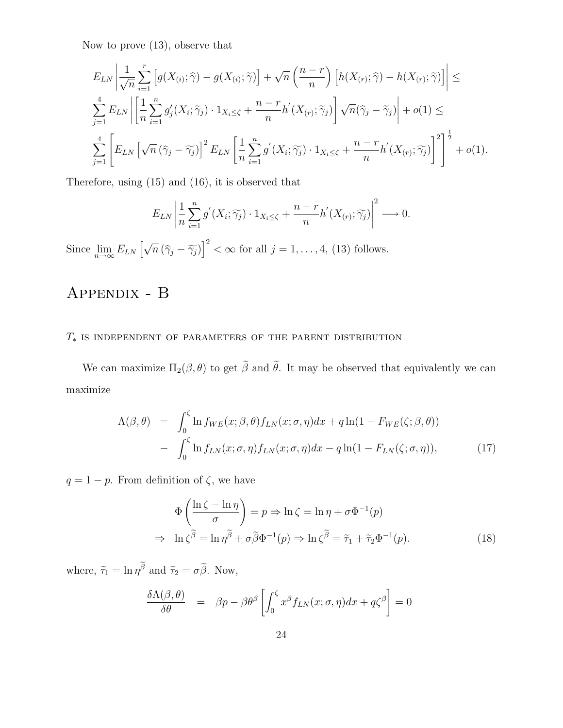Now to prove (13), observe that

$$
E_{LN}\left|\frac{1}{\sqrt{n}}\sum_{i=1}^r \left[g(X_{(i)};\hat{\gamma}) - g(X_{(i)};\tilde{\gamma})\right] + \sqrt{n}\left(\frac{n-r}{n}\right)\left[h(X_{(r)};\hat{\gamma}) - h(X_{(r)};\tilde{\gamma})\right]\right| \leq
$$
  

$$
\sum_{j=1}^4 E_{LN}\left|\left[\frac{1}{n}\sum_{i=1}^n g'_j(X_i;\tilde{\gamma}_j) \cdot 1_{X_i \leq \zeta} + \frac{n-r}{n}h'(X_{(r)};\tilde{\gamma}_j)\right] \sqrt{n}(\hat{\gamma}_j - \tilde{\gamma}_j)\right| + o(1) \leq
$$
  

$$
\sum_{j=1}^4 \left[E_{LN}\left[\sqrt{n}(\hat{\gamma}_j - \tilde{\gamma}_j)\right]^2 E_{LN}\left[\frac{1}{n}\sum_{i=1}^n g'(X_i;\tilde{\gamma}_j) \cdot 1_{X_i \leq \zeta} + \frac{n-r}{n}h'(X_{(r)};\tilde{\gamma}_j)\right]^2\right]^{\frac{1}{2}} + o(1).
$$

Therefore, using (15) and (16), it is observed that

$$
E_{LN}\left|\frac{1}{n}\sum_{i=1}^n g'(X_i;\widetilde{\gamma_j})\cdot 1_{X_i\leq \zeta}+\frac{n-r}{n}h'(X_{(r)};\widetilde{\gamma_j})\right|^2\longrightarrow 0.
$$

Since  $\lim_{n\to\infty} E_{LN} \left[ \sqrt{n} \left( \hat{\gamma}_j - \widetilde{\gamma}_j \right) \right]^2 < \infty$  for all  $j = 1, \ldots, 4$ , (13) follows.

# Appendix - B

#### $T_\ast$  is independent of parameters of the parent distribution

We can maximize  $\Pi_2(\beta, \theta)$  to get  $\tilde{\beta}$  and  $\tilde{\theta}$ . It may be observed that equivalently we can maximize

$$
\Lambda(\beta,\theta) = \int_0^{\zeta} \ln f_{WE}(x;\beta,\theta) f_{LN}(x;\sigma,\eta) dx + q \ln(1 - F_{WE}(\zeta;\beta,\theta))
$$

$$
- \int_0^{\zeta} \ln f_{LN}(x;\sigma,\eta) f_{LN}(x;\sigma,\eta) dx - q \ln(1 - F_{LN}(\zeta;\sigma,\eta)), \tag{17}
$$

 $q = 1 - p$ . From definition of  $\zeta$ , we have

$$
\Phi\left(\frac{\ln\zeta-\ln\eta}{\sigma}\right) = p \Rightarrow \ln\zeta = \ln\eta + \sigma\Phi^{-1}(p)
$$
  
\n
$$
\Rightarrow \ln\zeta^{\widetilde{\beta}} = \ln\eta^{\widetilde{\beta}} + \sigma\widetilde{\beta}\Phi^{-1}(p) \Rightarrow \ln\zeta^{\widetilde{\beta}} = \widetilde{\tau}_1 + \widetilde{\tau}_2\Phi^{-1}(p). \tag{18}
$$

where,  $\tilde{\tau}_1 = \ln \eta^{\beta}$  and  $\tilde{\tau}_2 = \sigma \tilde{\beta}$ . Now,

$$
\frac{\delta \Lambda(\beta,\theta)}{\delta \theta} = \beta p - \beta \theta^{\beta} \left[ \int_0^{\zeta} x^{\beta} f_{LN}(x;\sigma,\eta) dx + q \zeta^{\beta} \right] = 0
$$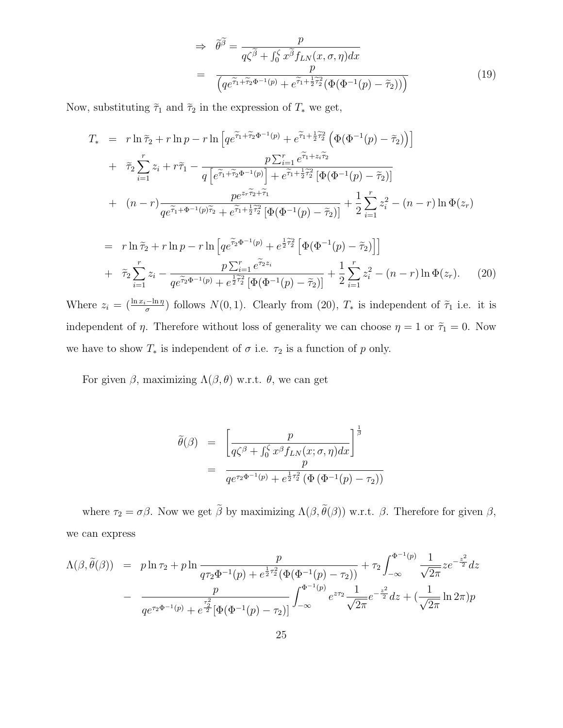$$
\Rightarrow \tilde{\theta}^{\tilde{\beta}} = \frac{p}{q\zeta^{\tilde{\beta}} + \int_0^{\zeta} x^{\tilde{\beta}} f_{LN}(x, \sigma, \eta) dx}
$$

$$
= \frac{p}{\left(qe^{\tilde{\tau}_1 + \tilde{\tau}_2 \Phi^{-1}(p)} + e^{\tilde{\tau}_1 + \frac{1}{2}\tilde{\tau}_2^2}(\Phi(\Phi^{-1}(p) - \tilde{\tau}_2))\right)}
$$
(19)

Now, substituting  $\widetilde{\tau}_1$  and  $\widetilde{\tau}_2$  in the expression of  $T_*$  we get,

$$
T_{*} = r \ln \tilde{\tau}_{2} + r \ln p - r \ln \left[ q e^{\tilde{\tau}_{1} + \tilde{\tau}_{2} \Phi^{-1}(p)} + e^{\tilde{\tau}_{1} + \frac{1}{2} \tilde{\tau}_{2}^{2}} \left( \Phi(\Phi^{-1}(p) - \tilde{\tau}_{2}) \right) \right]
$$
  
+ 
$$
\tilde{\tau}_{2} \sum_{i=1}^{r} z_{i} + r \tilde{\tau}_{1} - \frac{p \sum_{i=1}^{r} e^{\tilde{\tau}_{1} + z_{i} \tilde{\tau}_{2}}}{q \left[ e^{\tilde{\tau}_{1} + \tilde{\tau}_{2} \Phi^{-1}(p)} \right] + e^{\tilde{\tau}_{1} + \frac{1}{2} \tilde{\tau}_{2}^{2}} \left[ \Phi(\Phi^{-1}(p) - \tilde{\tau}_{2}) \right]}
$$
  
+ 
$$
(n - r) \frac{p e^{z_{r} \tilde{\tau}_{2} + \tilde{\tau}_{1}}}{q e^{\tilde{\tau}_{1} + \Phi^{-1}(p) \tilde{\tau}_{2}} + e^{\tilde{\tau}_{1} + \frac{1}{2} \tilde{\tau}_{2}^{2}} \left[ \Phi(\Phi^{-1}(p) - \tilde{\tau}_{2}) \right]} + \frac{1}{2} \sum_{i=1}^{r} z_{i}^{2} - (n - r) \ln \Phi(z_{r})
$$

$$
= r \ln \tilde{\tau}_2 + r \ln p - r \ln \left[ q e^{\tilde{\tau}_2 \Phi^{-1}(p)} + e^{\frac{1}{2}\tilde{\tau}_2^2} \left[ \Phi(\Phi^{-1}(p) - \tilde{\tau}_2) \right] \right] + \tilde{\tau}_2 \sum_{i=1}^r z_i - \frac{p \sum_{i=1}^r e^{\tilde{\tau}_2 z_i}}{q e^{\tilde{\tau}_2 \Phi^{-1}(p)} + e^{\frac{1}{2}\tilde{\tau}_2^2} \left[ \Phi(\Phi^{-1}(p) - \tilde{\tau}_2) \right]} + \frac{1}{2} \sum_{i=1}^r z_i^2 - (n - r) \ln \Phi(z_r).
$$
 (20)

Where  $z_i = \left(\frac{\ln x_i - \ln \eta}{\sigma}\right)$  $\frac{(-\ln \eta)}{\sigma}$  follows  $N(0, 1)$ . Clearly from (20),  $T_*$  is independent of  $\tilde{\tau}_1$  i.e. it is independent of  $\eta$ . Therefore without loss of generality we can choose  $\eta = 1$  or  $\tilde{\tau}_1 = 0$ . Now we have to show  $T_*$  is independent of  $\sigma$  i.e.  $\tau_2$  is a function of  $p$  only.

For given  $\beta$ , maximizing  $\Lambda(\beta, \theta)$  w.r.t.  $\theta$ , we can get

$$
\tilde{\theta}(\beta) = \left[ \frac{p}{q\zeta^{\beta} + \int_0^{\zeta} x^{\beta} f_{LN}(x;\sigma,\eta) dx} \right]^{\frac{1}{\beta}} \n= \frac{p}{q e^{\tau_2 \Phi^{-1}(p)} + e^{\frac{1}{2}\tau_2^2} (\Phi(\Phi^{-1}(p) - \tau_2))}
$$

where  $\tau_2 = \sigma \beta$ . Now we get  $\beta$  by maximizing  $\Lambda(\beta, \theta(\beta))$  w.r.t.  $\beta$ . Therefore for given  $\beta$ , we can express

$$
\Lambda(\beta, \tilde{\theta}(\beta)) = p \ln \tau_2 + p \ln \frac{p}{q \tau_2 \Phi^{-1}(p) + e^{\frac{1}{2}\tau_2^2} (\Phi(\Phi^{-1}(p) - \tau_2))} + \tau_2 \int_{-\infty}^{\Phi^{-1}(p)} \frac{1}{\sqrt{2\pi}} z e^{-\frac{z^2}{2}} dz
$$

$$
- \frac{p}{q e^{\tau_2 \Phi^{-1}(p)} + e^{\frac{\tau_2^2}{2}} [\Phi(\Phi^{-1}(p) - \tau_2)]} \int_{-\infty}^{\Phi^{-1}(p)} e^{z\tau_2} \frac{1}{\sqrt{2\pi}} e^{-\frac{z^2}{2}} dz + (\frac{1}{\sqrt{2\pi}} \ln 2\pi) p
$$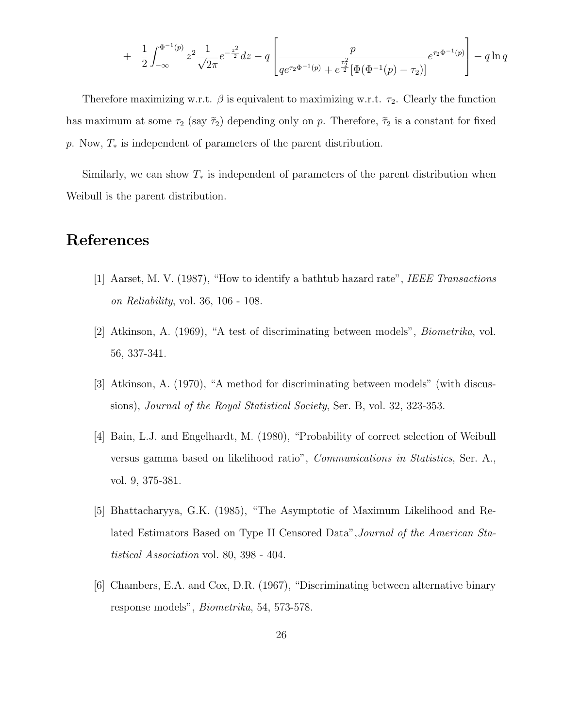$$
+ \frac{1}{2} \int_{-\infty}^{\Phi^{-1}(p)} z^2 \frac{1}{\sqrt{2\pi}} e^{-\frac{z^2}{2}} dz - q \left[ \frac{p}{q e^{\tau_2 \Phi^{-1}(p)} + e^{\frac{\tau_2^2}{2}} [\Phi(\Phi^{-1}(p) - \tau_2)]} e^{\tau_2 \Phi^{-1}(p)} \right] - q \ln q
$$

Therefore maximizing w.r.t.  $\beta$  is equivalent to maximizing w.r.t.  $\tau_2$ . Clearly the function has maximum at some  $\tau_2$  (say  $\tilde{\tau}_2$ ) depending only on p. Therefore,  $\tilde{\tau}_2$  is a constant for fixed p. Now,  $T_*$  is independent of parameters of the parent distribution.

Similarly, we can show  $T_*$  is independent of parameters of the parent distribution when Weibull is the parent distribution.

### References

- [1] Aarset, M. V. (1987), "How to identify a bathtub hazard rate", IEEE Transactions on Reliability, vol. 36, 106 - 108.
- [2] Atkinson, A. (1969), "A test of discriminating between models", Biometrika, vol. 56, 337-341.
- [3] Atkinson, A. (1970), "A method for discriminating between models" (with discussions), *Journal of the Royal Statistical Society*, Ser. B, vol. 32, 323-353.
- [4] Bain, L.J. and Engelhardt, M. (1980), "Probability of correct selection of Weibull versus gamma based on likelihood ratio", Communications in Statistics, Ser. A., vol. 9, 375-381.
- [5] Bhattacharyya, G.K. (1985), "The Asymptotic of Maximum Likelihood and Related Estimators Based on Type II Censored Data",Journal of the American Statistical Association vol. 80, 398 - 404.
- [6] Chambers, E.A. and Cox, D.R. (1967), "Discriminating between alternative binary response models", Biometrika, 54, 573-578.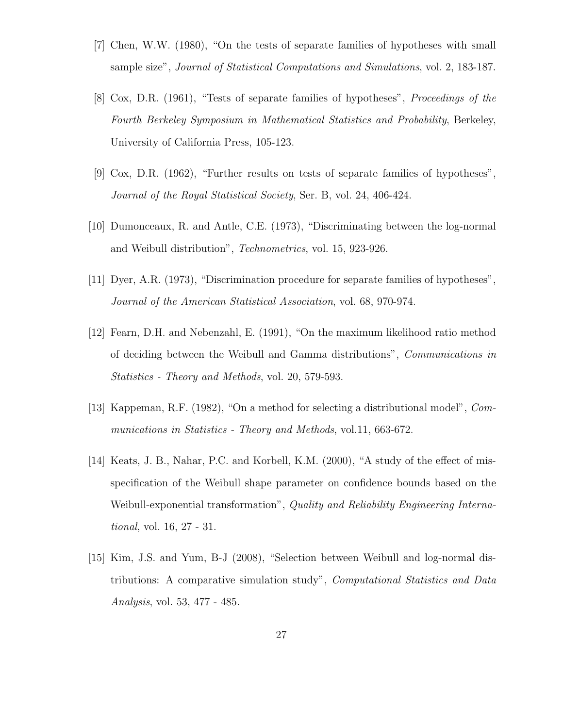- [7] Chen, W.W. (1980), "On the tests of separate families of hypotheses with small sample size", Journal of Statistical Computations and Simulations, vol. 2, 183-187.
- [8] Cox, D.R. (1961), "Tests of separate families of hypotheses", Proceedings of the Fourth Berkeley Symposium in Mathematical Statistics and Probability, Berkeley, University of California Press, 105-123.
- [9] Cox, D.R. (1962), "Further results on tests of separate families of hypotheses", Journal of the Royal Statistical Society, Ser. B, vol. 24, 406-424.
- [10] Dumonceaux, R. and Antle, C.E. (1973), "Discriminating between the log-normal and Weibull distribution", Technometrics, vol. 15, 923-926.
- [11] Dyer, A.R. (1973), "Discrimination procedure for separate families of hypotheses", Journal of the American Statistical Association, vol. 68, 970-974.
- [12] Fearn, D.H. and Nebenzahl, E. (1991), "On the maximum likelihood ratio method of deciding between the Weibull and Gamma distributions", Communications in Statistics - Theory and Methods, vol. 20, 579-593.
- [13] Kappeman, R.F. (1982), "On a method for selecting a distributional model", Communications in Statistics - Theory and Methods, vol.11, 663-672.
- [14] Keats, J. B., Nahar, P.C. and Korbell, K.M. (2000), "A study of the effect of misspecification of the Weibull shape parameter on confidence bounds based on the Weibull-exponential transformation", Quality and Reliability Engineering International, vol. 16, 27 - 31.
- [15] Kim, J.S. and Yum, B-J (2008), "Selection between Weibull and log-normal distributions: A comparative simulation study", Computational Statistics and Data Analysis, vol. 53, 477 - 485.